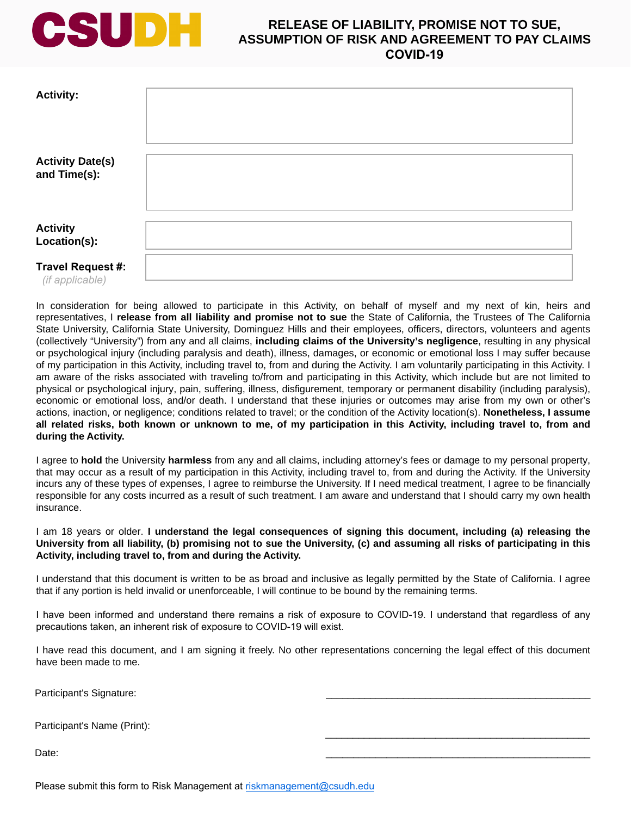

## **RELEASE OF LIABILITY, PROMISE NOT TO SUE, ASSUMPTION OF RISK AND AGREEMENT TO PAY CLAIMS COVID-19**

| <b>Activity:</b>                        |  |
|-----------------------------------------|--|
| <b>Activity Date(s)</b><br>and Time(s): |  |
| <b>Activity</b><br>Location(s):         |  |
| Travel Request #:<br>(if applicable)    |  |

In consideration for being allowed to participate in this Activity, on behalf of myself and my next of kin, heirs and representatives, I **release from all liability and promise not to sue** the State of California, the Trustees of The California State University, California State University, Dominguez Hills and their employees, officers, directors, volunteers and agents (collectively "University") from any and all claims, **including claims of the University's negligence**, resulting in any physical or psychological injury (including paralysis and death), illness, damages, or economic or emotional loss I may suffer because of my participation in this Activity, including travel to, from and during the Activity. I am voluntarily participating in this Activity. I am aware of the risks associated with traveling to/from and participating in this Activity, which include but are not limited to physical or psychological injury, pain, suffering, illness, disfigurement, temporary or permanent disability (including paralysis), economic or emotional loss, and/or death. I understand that these injuries or outcomes may arise from my own or other's actions, inaction, or negligence; conditions related to travel; or the condition of the Activity location(s). **Nonetheless, I assume all related risks, both known or unknown to me, of my participation in this Activity, including travel to, from and during the Activity.** 

I agree to **hold** the University **harmless** from any and all claims, including attorney's fees or damage to my personal property, that may occur as a result of my participation in this Activity, including travel to, from and during the Activity. If the University incurs any of these types of expenses, I agree to reimburse the University. If I need medical treatment, I agree to be financially responsible for any costs incurred as a result of such treatment. I am aware and understand that I should carry my own health insurance.

## I am 18 years or older. **I understand the legal consequences of signing this document, including (a) releasing the University from all liability, (b) promising not to sue the University, (c) and assuming all risks of participating in this Activity, including travel to, from and during the Activity.**

I understand that this document is written to be as broad and inclusive as legally permitted by the State of California. I agree that if any portion is held invalid or unenforceable, I will continue to be bound by the remaining terms.

I have been informed and understand there remains a risk of exposure to COVID-19. I understand that regardless of any precautions taken, an inherent risk of exposure to COVID-19 will exist.

I have read this document, and I am signing it freely. No other representations concerning the legal effect of this document have been made to me.

\_\_\_\_\_\_\_\_\_\_\_\_\_\_\_\_\_\_\_\_\_\_\_\_\_\_\_\_\_\_\_\_\_\_\_\_\_\_\_\_\_\_\_\_\_\_\_\_

Participant's Signature:

Participant's Name (Print):

Date: \_\_\_\_\_\_\_\_\_\_\_\_\_\_\_\_\_\_\_\_\_\_\_\_\_\_\_\_\_\_\_\_\_\_\_\_\_\_\_\_\_\_\_\_\_\_\_\_

Please submit this form to Risk Management at riskmanagement@csudh.edu